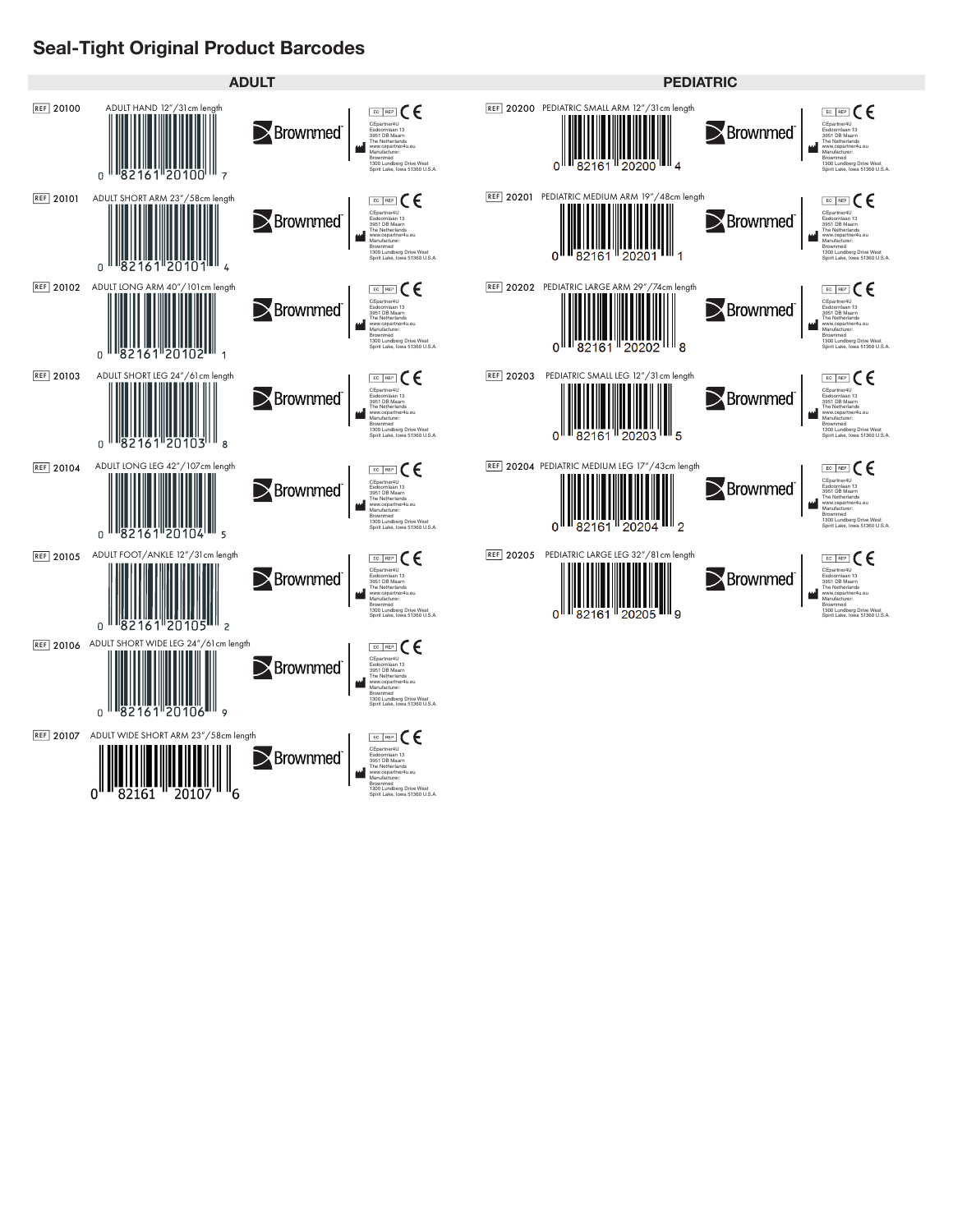## **Seal-Tight Original Product Barcodes**

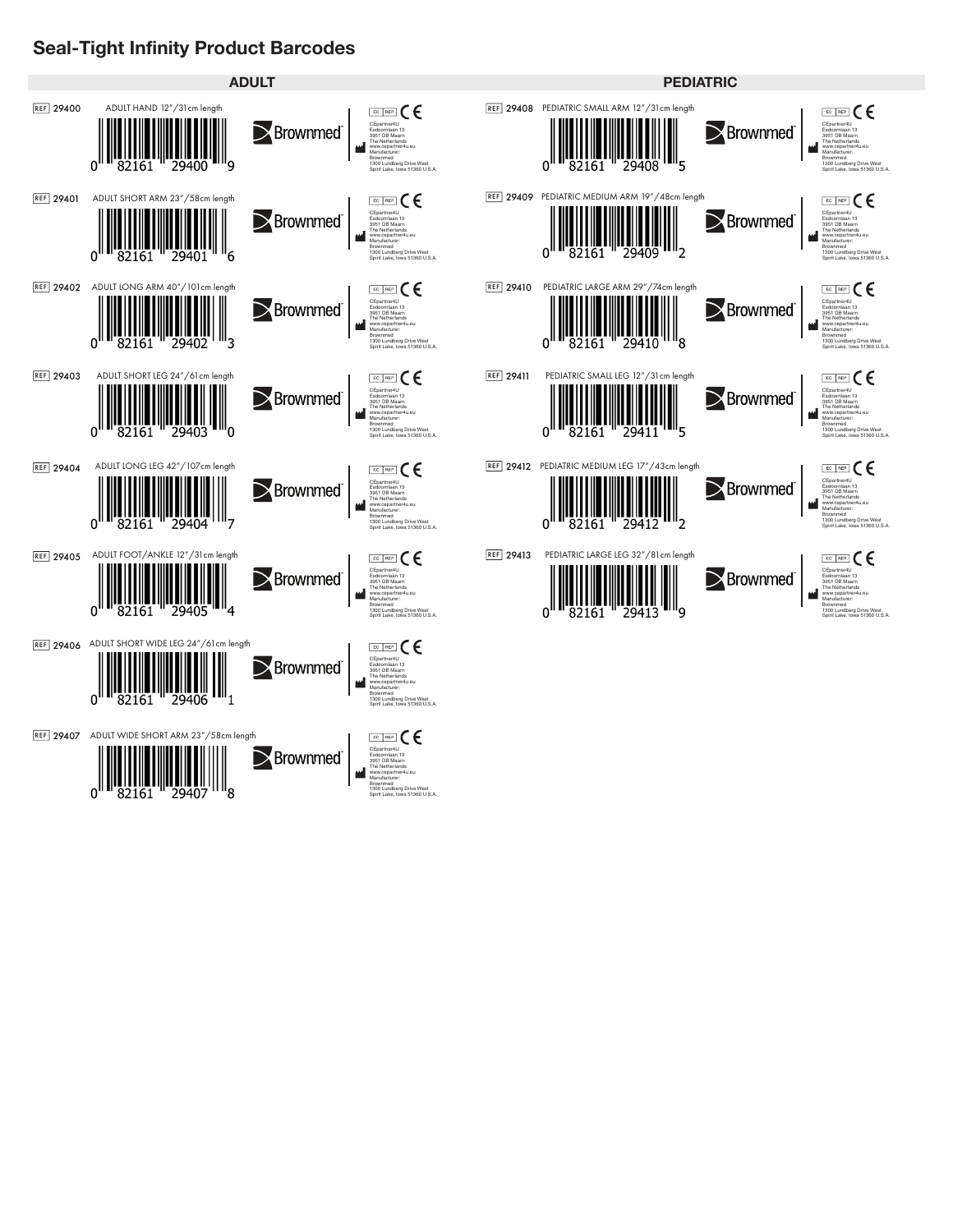## **Seal-Tight Infinity Product Barcodes**

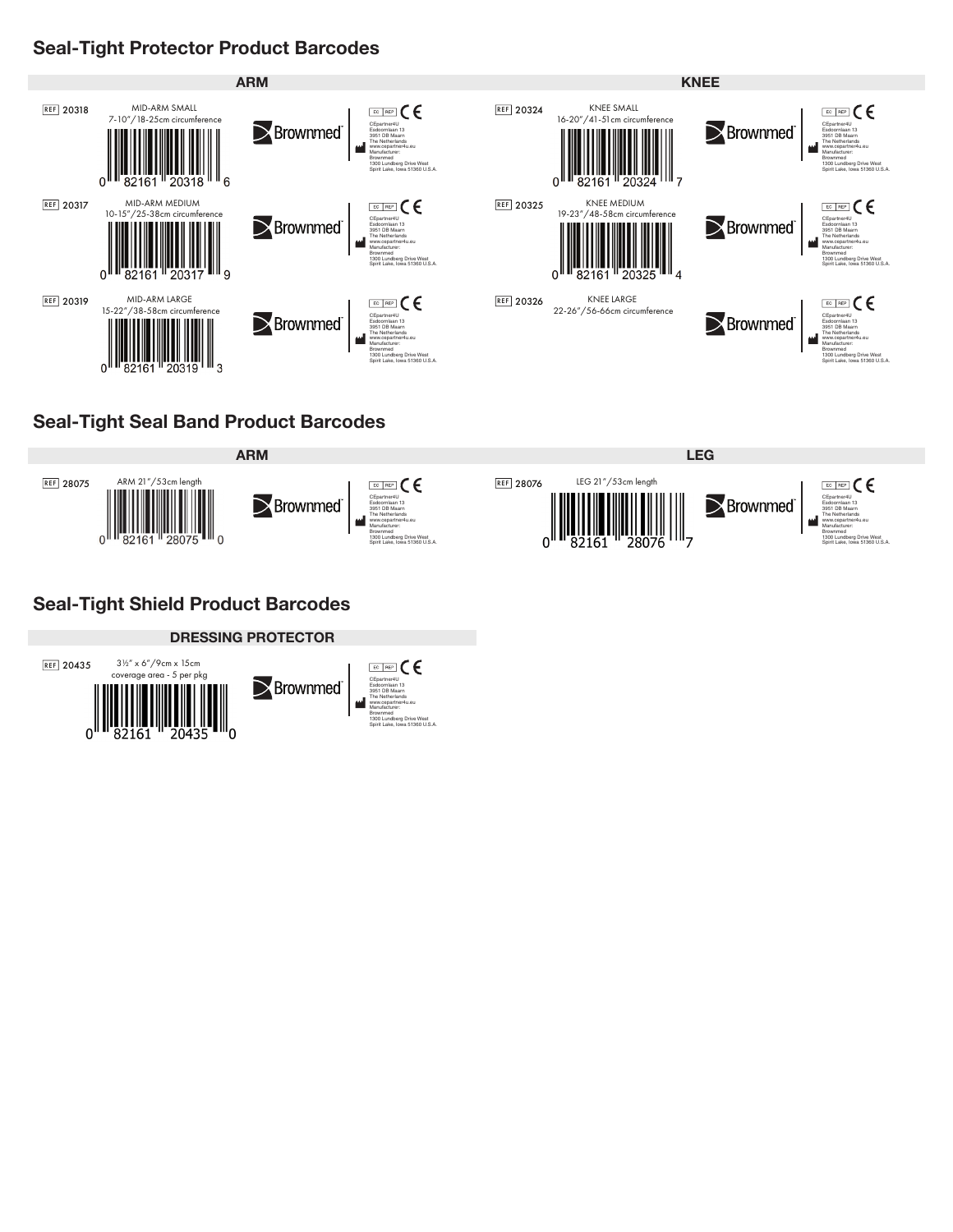### **Seal-Tight Protector Product Barcodes**



## **Seal-Tight Seal Band Product Barcodes**



# **Seal-Tight Shield Product Barcodes**